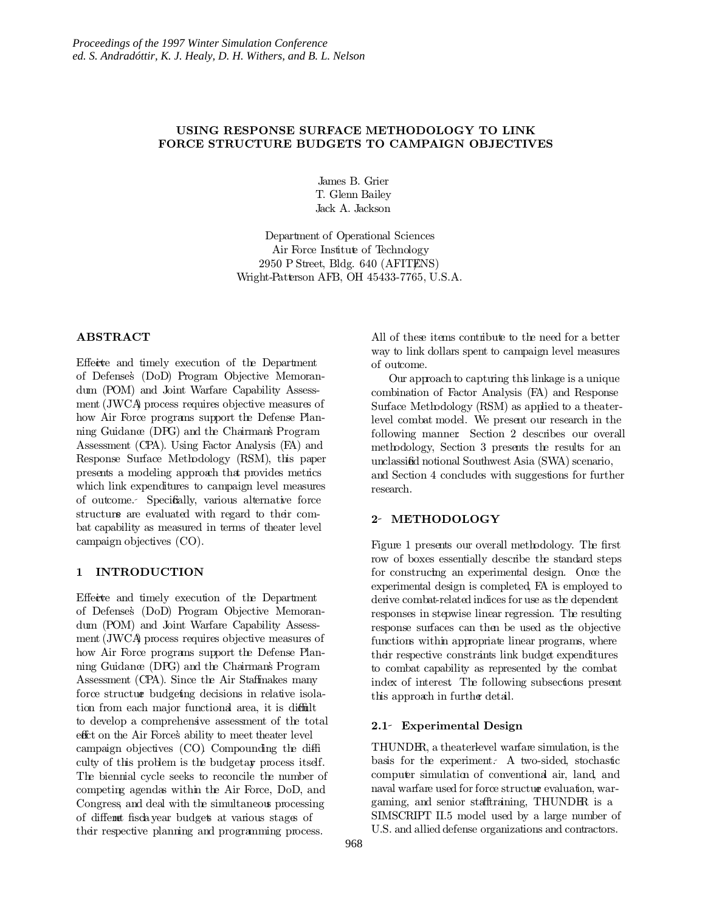# USING RESPONSE SURFACE METHODOLOGY TO LINK FORCE STRUCTURE BUDGETS TO CAMPAIGN OBJECTIVES

James B. Grier T. Glenn Bailey Jack A. Jackson

Department of Operational Sciences Air Force Institute of Technology 2950 P Street, Bldg. 640 (AFITENS) Wright-Patterson AFB, OH 45433-7765, U.S.A.

# ABSTRACT

Effect and timely execution of the Department of Defense's (DoD) Program Objective Memorandum (POM) and Joint Warfare Capability Assessment (JWCA) process requires objective measures of how Air Force programs support the Defense Planning Guidance (DPG) and the Chairman's Program Assessment (CPA). Using Factor Analysis (FA) and Response Surface Methodology (RSM), this paper presents a modeling approach that provides metrics which link expenditures to campaign level measures of outcome. Specifically, various alternative force structure are evaluated with regard to their combat capability as measured in terms of theater level campaign objectives (CO).

## 1 INTRODUCTION

Effect and timely execution of the Department of Defense's (DoD) Program Objective Memorandum (POM) and Joint Warfare Capability Assessment (JWCA) process requires objective measures of how Air Force programs support the Defense Planning Guidance (DPG) and the Chairman's Program Assessment (CPA). Since the Air Staffmakes many force structure budgeting decisions in relative isolation from each major functional area, it is diffilt to develop a comprehensive assessment of the total effet on the Air Force's ability to meet theater level campaign objectives (CO). Compounding the difficulty of this problem is the budgetary process itself. The biennial cycle seeks to reconcile the number of competing agendas within the Air Force, DoD, and Congress, and deal with the simultaneous processing of different fiscal year budgets at various stages of their respective planning and programming process.

All of these items contribute to the need for a better way to link dollars spent to campaign level measures of outcome.

Our approach to capturing this linkage is a unique combination of Factor Analysis (FA) and Response Surface Methodology (RSM) as applied to a theaterlevel combat model. We present our research in the following manner: Section 2 describes our overall methodology, Section 3 presents the results for an unclassiefid notional Southwest Asia (SWA) scenario, and Section 4 concludes with suggestions for further research.

# 2- METHODOLOGY

Figure 1 presents our overall methodology. The first row of boxes essentially describe the standard steps for constructing an experimental design. Once the experimental design is completed, FA is employed to derive combat-related indices for use as the dependent responses in stepwise linear regression. The resulting response surfaces can then be used as the objective functions within appropriate linear programs, where their respective constraints link budget expenditures to combat capability as represented by the combat index of interest. The following subsections present this approach in further detail.

## 2.1 Experimental Design

THUNDER, a theater-level warfare simulation, is the basis for the experiment. A two-sided, stochastic computer simulation of conventional air, land, and naval warfare used for force structure evaluation, wargaming, and senior stafftraining, THUNDER is a SIMSCRIPT II.5 model used by a large number of U.S. and allied defense organizations and contractors.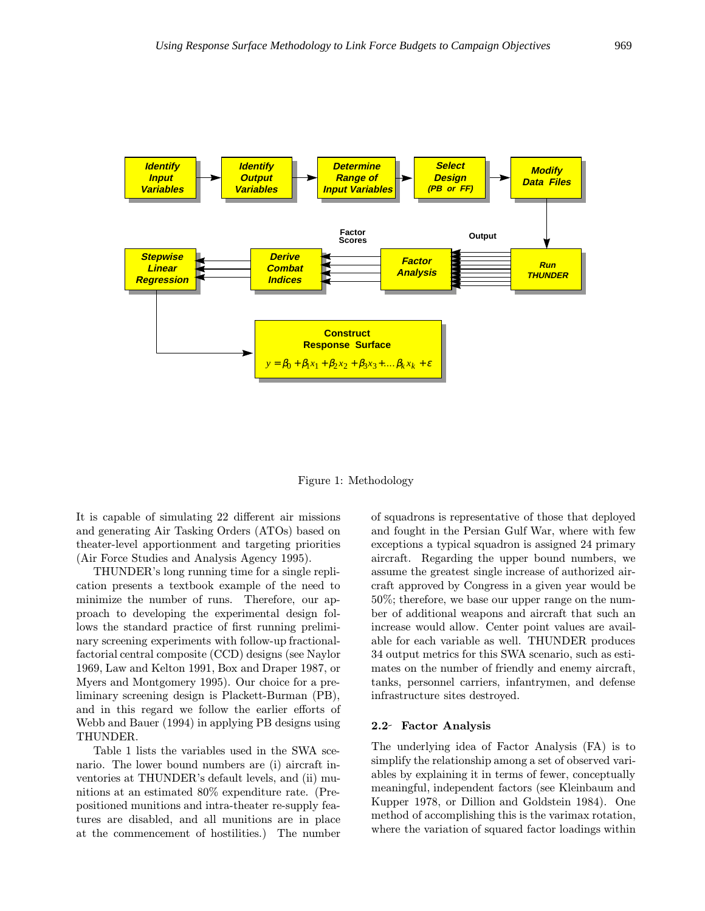

Figure 1: Methodology

It is capable of simulating 22 different air missions and generating Air Tasking Orders (ATOs) based on theater-level apportionment and targeting priorities (Air Force Studies and Analysis Agency 1995).

THUNDER's long running time for a single replication presents a textbook example of the need to minimize the number of runs. Therefore, our approach to developing the experimental design follows the standard practice of first running preliminary screening experiments with follow-up fractionalfactorial central composite (CCD) designs (see Naylor 1969, Law and Kelton 1991, Box and Draper 1987, or Myers and Montgomery 1995). Our choice for a preliminary screening design is Plackett-Burman (PB), and in this regard we follow the earlier efforts of Webb and Bauer (1994) in applying PB designs using THUNDER.

Table 1 lists the variables used in the SWA scenario. The lower bound numbers are (i) aircraft inventories at THUNDER's default levels, and (ii) munitions at an estimated 80% expenditure rate. (Prepositioned munitions and intra-theater re-supply features are disabled, and all munitions are in place at the commencement of hostilities.) The number of squadrons is representative of those that deployed and fought in the Persian Gulf War, where with few exceptions a typical squadron is assigned 24 primary aircraft. Regarding the upper bound numbers, we assume the greatest single increase of authorized aircraft approved by Congress in a given year would be 50%; therefore, we base our upper range on the number of additional weapons and aircraft that such an increase would allow. Center point values are available for each variable as well. THUNDER produces 34 output metrics for this SWA scenario, such as estimates on the number of friendly and enemy aircraft, tanks, personnel carriers, infantrymen, and defense infrastructure sites destroyed.

### 2.2 Factor Analysis

The underlying idea of Factor Analysis (FA) is to simplify the relationship among a set of observed variables by explaining it in terms of fewer, conceptually meaningful, independent factors (see Kleinbaum and Kupper 1978, or Dillion and Goldstein 1984). One method of accomplishing this is the varimax rotation, where the variation of squared factor loadings within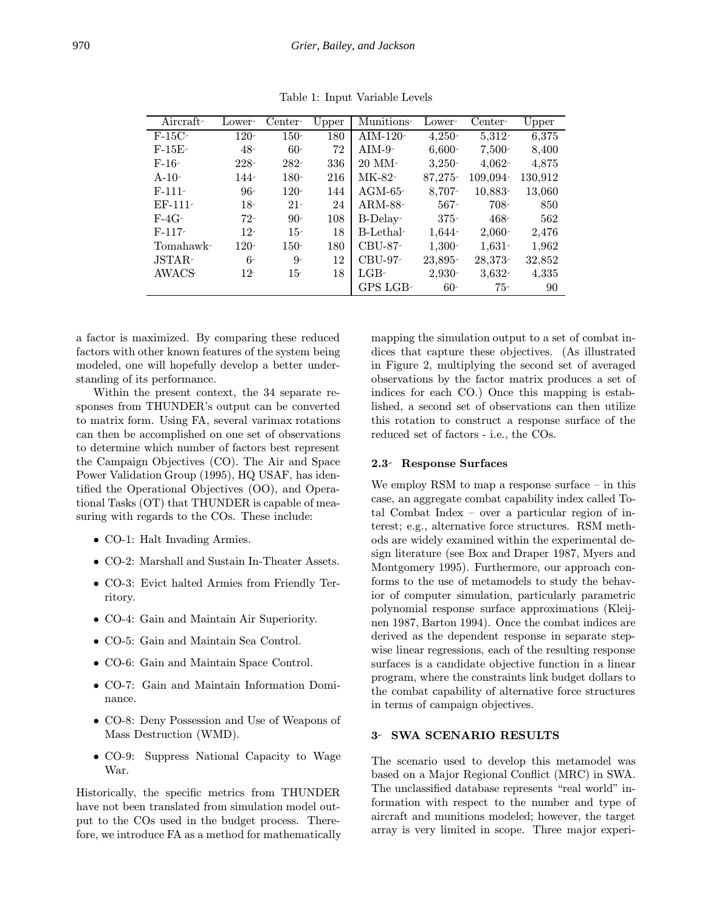| Aircraft  | Lower-  | Center-      | Upper | Munitions-  | Lower-   | $Center-$ | Upper   |
|-----------|---------|--------------|-------|-------------|----------|-----------|---------|
| $F-15C$   | $120 -$ | $150 -$      | 180   | AIM- $120$  | $4,250-$ | $5,312-$  | 6,375   |
| $F-15E-$  | $48 -$  | $60-$        | 72    | $AIM-9-$    | $6,600-$ | $7,500-$  | 8,400   |
| $F-16-$   | $228 -$ | $282 -$      | 336   | $20$ MM $1$ | $3,250-$ | $4,062 -$ | 4,875   |
| $A-10-$   | 144-    | $180 -$      | 216   | MK-82-      | 87,275-  | 109,094-  | 130,912 |
| $F-111-$  | $96-$   | $120 -$      | 144   | $AGM-65$    | $8,707-$ | $10,883-$ | 13,060  |
| $EF-111-$ | $18-$   | $21 -$       | 24    | ARM-88-     | $567 -$  | $708 -$   | 850     |
| $F-4G-$   | $72-$   | $90-$        | 108   | $B-Delay-$  | $375 -$  | $468 -$   | 562     |
| $F-117-$  | $12-$   | $15-$        | 18    | B-Lethal-   | 1,644-   | $2,060-$  | 2,476   |
| Tomahawk- | $120 -$ | $150-$       | 180   | $CBU-87-$   | $1,300-$ | $1,631-$  | 1,962   |
| JSTAR-    | $6-$    | $9-$         | 12    | CBU-97-     | 23,895-  | 28,373-   | 32,852  |
| AWACS     | $12 -$  | $15^{\circ}$ | 18    | LGB-        | $2,930-$ | $3,632-$  | 4,335   |
|           |         |              |       | GPS LGB-    | $60-$    | $75-$     | 90      |

Table 1: Input Variable Levels

a factor is maximized. By comparing these reduced factors with other known features of the system being modeled, one will hopefully develop a better understanding of its performance.

Within the present context, the 34 separate responses from THUNDER's output can be converted to matrix form. Using FA, several varimax rotations can then be accomplished on one set of observations to determine which number of factors best represent the Campaign Objectives (CO). The Air and Space Power Validation Group (1995), HQ USAF, has identified the Operational Objectives (OO), and Operational Tasks (OT) that THUNDER is capable of measuring with regards to the COs. These include:

- CO-1: Halt Invading Armies.
- CO-2: Marshall and Sustain In-Theater Assets.
- CO-3: Evict halted Armies from Friendly Territory.
- CO-4: Gain and Maintain Air Superiority.
- CO-5: Gain and Maintain Sea Control.
- CO-6: Gain and Maintain Space Control.
- CO-7: Gain and Maintain Information Dominance.
- CO-8: Deny Possession and Use of Weapons of Mass Destruction (WMD).
- CO-9: Suppress National Capacity to Wage War.

Historically, the specific metrics from THUNDER have not been translated from simulation model output to the COs used in the budget process. Therefore, we introduce FA as a method for mathematically mapping the simulation output to a set of combat indices that capture these objectives. (As illustrated in Figure 2, multiplying the second set of averaged observations by the factor matrix produces a set of indices for each CO.) Once this mapping is established, a second set of observations can then utilize this rotation to construct a response surface of the reduced set of factors - i.e., the COs.

#### 2.3 Response Surfaces

We employ RSM to map a response surface – in this case, an aggregate combat capability index called Total Combat Index – over a particular region of interest; e.g., alternative force structures. RSM methods are widely examined within the experimental design literature (see Box and Draper 1987, Myers and Montgomery 1995). Furthermore, our approach conforms to the use of metamodels to study the behavior of computer simulation, particularly parametric polynomial response surface approximations (Kleijnen 1987, Barton 1994). Once the combat indices are derived as the dependent response in separate stepwise linear regressions, each of the resulting response surfaces is a candidate objective function in a linear program, where the constraints link budget dollars to the combat capability of alternative force structures in terms of campaign objectives.

### 3- SWA SCENARIO RESULTS

The scenario used to develop this metamodel was based on a Major Regional Conflict (MRC) in SWA. The unclassified database represents "real world" information with respect to the number and type of aircraft and munitions modeled; however, the target array is very limited in scope. Three major experi-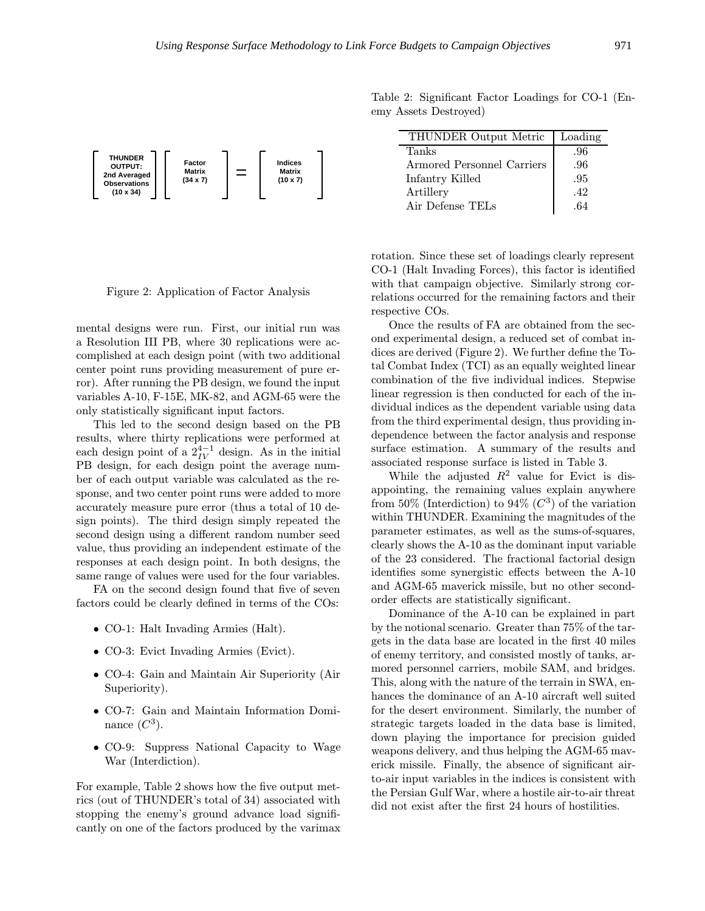

Table 2: Significant Factor Loadings for CO-1 (Enemy Assets Destroyed)

| THUNDER Output Metric      | Loading |
|----------------------------|---------|
| Tanks                      | .96     |
| Armored Personnel Carriers | .96     |
| Infantry Killed            | .95     |
| Artillery                  | .42     |
| Air Defense TELs           |         |

Figure 2: Application of Factor Analysis

mental designs were run. First, our initial run was a Resolution III PB, where 30 replications were accomplished at each design point (with two additional center point runs providing measurement of pure error). After running the PB design, we found the input variables A-10, F-15E, MK-82, and AGM-65 were the only statistically significant input factors.

This led to the second design based on the PB results, where thirty replications were performed at each design point of a  $2^{4-1}_{IV}$  design. As in the initial PB design, for each design point the average number of each output variable was calculated as the response, and two center point runs were added to more accurately measure pure error (thus a total of 10 design points). The third design simply repeated the second design using a different random number seed value, thus providing an independent estimate of the responses at each design point. In both designs, the same range of values were used for the four variables.

FA on the second design found that five of seven factors could be clearly defined in terms of the COs:

- CO-1: Halt Invading Armies (Halt).
- CO-3: Evict Invading Armies (Evict).
- CO-4: Gain and Maintain Air Superiority (Air Superiority).
- CO-7: Gain and Maintain Information Dominance  $(C^3)$ .
- CO-9: Suppress National Capacity to Wage War (Interdiction).

For example, Table 2 shows how the five output metrics (out of THUNDER's total of 34) associated with stopping the enemy's ground advance load significantly on one of the factors produced by the varimax rotation. Since these set of loadings clearly represent CO-1 (Halt Invading Forces), this factor is identified with that campaign objective. Similarly strong correlations occurred for the remaining factors and their respective COs.

Once the results of FA are obtained from the second experimental design, a reduced set of combat indices are derived (Figure 2). We further define the Total Combat Index (TCI) as an equally weighted linear combination of the five individual indices. Stepwise linear regression is then conducted for each of the individual indices as the dependent variable using data from the third experimental design, thus providing independence between the factor analysis and response surface estimation. A summary of the results and associated response surface is listed in Table 3.

While the adjusted  $R^2$  value for Evict is disappointing, the remaining values explain anywhere from 50% (Interdiction) to 94% ( $C^3$ ) of the variation within THUNDER. Examining the magnitudes of the parameter estimates, as well as the sums-of-squares, clearly shows the A-10 as the dominant input variable of the 23 considered. The fractional factorial design identifies some synergistic effects between the A-10 and AGM-65 maverick missile, but no other secondorder effects are statistically significant.

Dominance of the A-10 can be explained in part by the notional scenario. Greater than 75% of the targets in the data base are located in the first 40 miles of enemy territory, and consisted mostly of tanks, armored personnel carriers, mobile SAM, and bridges. This, along with the nature of the terrain in SWA, enhances the dominance of an A-10 aircraft well suited for the desert environment. Similarly, the number of strategic targets loaded in the data base is limited, down playing the importance for precision guided weapons delivery, and thus helping the AGM-65 maverick missile. Finally, the absence of significant airto-air input variables in the indices is consistent with the Persian Gulf War, where a hostile air-to-air threat did not exist after the first 24 hours of hostilities.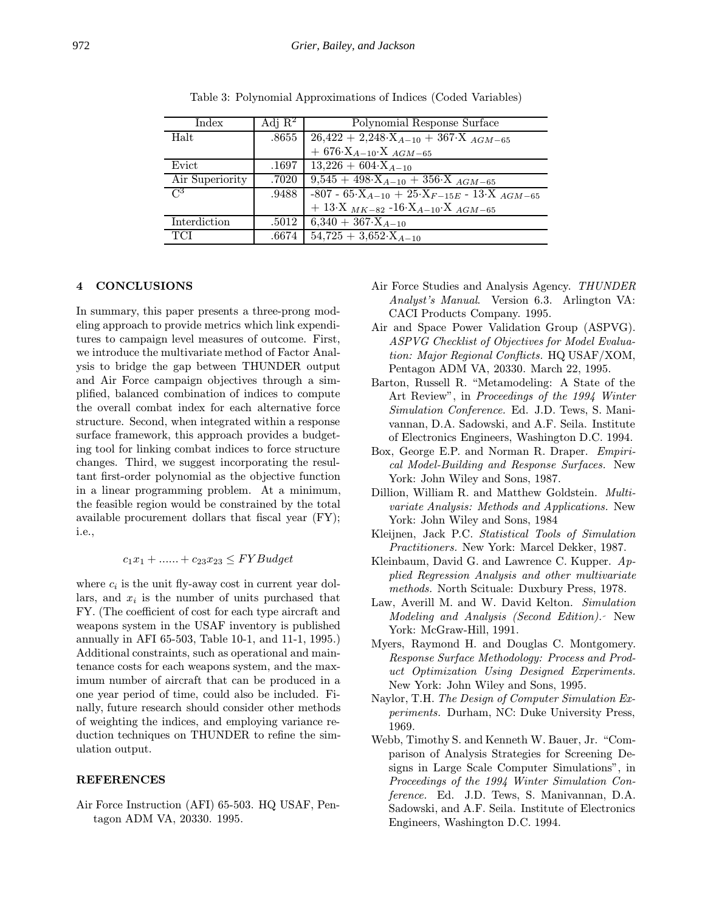| Index           | Adj $\mathbb{R}^2$ | Polynomial Response Surface                                   |
|-----------------|--------------------|---------------------------------------------------------------|
| Halt            |                    | $.8655$   26,422 + 2,248· $X_{A-10}$ + 367· $X_{AGM-65}$      |
|                 |                    | $+ 676 \cdot X_{A-10} \cdot X_{AGM-65}$                       |
| Evict           |                    | .1697   13,226 + 604 $\cdot$ X <sub>A-10</sub>                |
| Air Superiority |                    | .7020   $9,545 + 498 \cdot X_{A-10} + 356 \cdot X_{AGM-65}$   |
| $\mathcal{C}^3$ |                    | .9488 -807 - 65 $X_{A-10}$ + 25 $X_{F-15E}$ - 13 $X_{AGM-65}$ |
|                 |                    | $+ 13X$ $_{MK-82}$ -16· $X$ <sub>A-10</sub> · $X$ $_{AGM-65}$ |
| Interdiction    |                    | $\overline{.5012}$ 6,340 + 367·X <sub>A-10</sub>              |
| <b>TCI</b>      |                    | $.6674 \div 54,725 + 3,652 \times A_{4-10}$                   |

Table 3: Polynomial Approximations of Indices (Coded Variables)

### 4 CONCLUSIONS

In summary, this paper presents a three-prong modeling approach to provide metrics which link expenditures to campaign level measures of outcome. First, we introduce the multivariate method of Factor Analysis to bridge the gap between THUNDER output and Air Force campaign objectives through a simplified, balanced combination of indices to compute the overall combat index for each alternative force structure. Second, when integrated within a response surface framework, this approach provides a budgeting tool for linking combat indices to force structure changes. Third, we suggest incorporating the resultant first-order polynomial as the objective function in a linear programming problem. At a minimum, the feasible region would be constrained by the total available procurement dollars that fiscal year (FY); i.e.,

# $c_1x_1 + \ldots + c_{23}x_{23} \leq FYBudget$

where  $c_i$  is the unit fly-away cost in current year dollars, and  $x_i$  is the number of units purchased that FY. (The coefficient of cost for each type aircraft and weapons system in the USAF inventory is published annually in AFI 65-503, Table 10-1, and 11-1, 1995.) Additional constraints, such as operational and maintenance costs for each weapons system, and the maximum number of aircraft that can be produced in a one year period of time, could also be included. Finally, future research should consider other methods of weighting the indices, and employing variance reduction techniques on THUNDER to refine the simulation output.

### REFERENCES

Air Force Instruction (AFI) 65-503. HQ USAF, Pentagon ADM VA, 20330. 1995.

- Air Force Studies and Analysis Agency. THUNDER Analyst's Manual. Version 6.3. Arlington VA: CACI Products Company. 1995.
- Air and Space Power Validation Group (ASPVG). ASPVG Checklist of Objectives for Model Evaluation: Major Regional Conflicts. HQ USAF/XOM, Pentagon ADM VA, 20330. March 22, 1995.
- Barton, Russell R. "Metamodeling: A State of the Art Review", in Proceedings of the 1994 Winter Simulation Conference. Ed. J.D. Tews, S. Manivannan, D.A. Sadowski, and A.F. Seila. Institute of Electronics Engineers, Washington D.C. 1994.
- Box, George E.P. and Norman R. Draper. Empirical Model-Building and Response Surfaces. New York: John Wiley and Sons, 1987.
- Dillion, William R. and Matthew Goldstein. Multivariate Analysis: Methods and Applications. New York: John Wiley and Sons, 1984
- Kleijnen, Jack P.C. Statistical Tools of Simulation Practitioners. New York: Marcel Dekker, 1987.
- Kleinbaum, David G. and Lawrence C. Kupper. Applied Regression Analysis and other multivariate methods. North Scituale: Duxbury Press, 1978.
- Law, Averill M. and W. David Kelton. Simulation Modeling and Analysis (Second Edition). New York: McGraw-Hill, 1991.
- Myers, Raymond H. and Douglas C. Montgomery. Response Surface Methodology: Process and Product Optimization Using Designed Experiments. New York: John Wiley and Sons, 1995.
- Naylor, T.H. The Design of Computer Simulation Experiments. Durham, NC: Duke University Press, 1969.
- Webb, Timothy S. and Kenneth W. Bauer, Jr. "Comparison of Analysis Strategies for Screening Designs in Large Scale Computer Simulations", in Proceedings of the 1994 Winter Simulation Conference. Ed. J.D. Tews, S. Manivannan, D.A. Sadowski, and A.F. Seila. Institute of Electronics Engineers, Washington D.C. 1994.